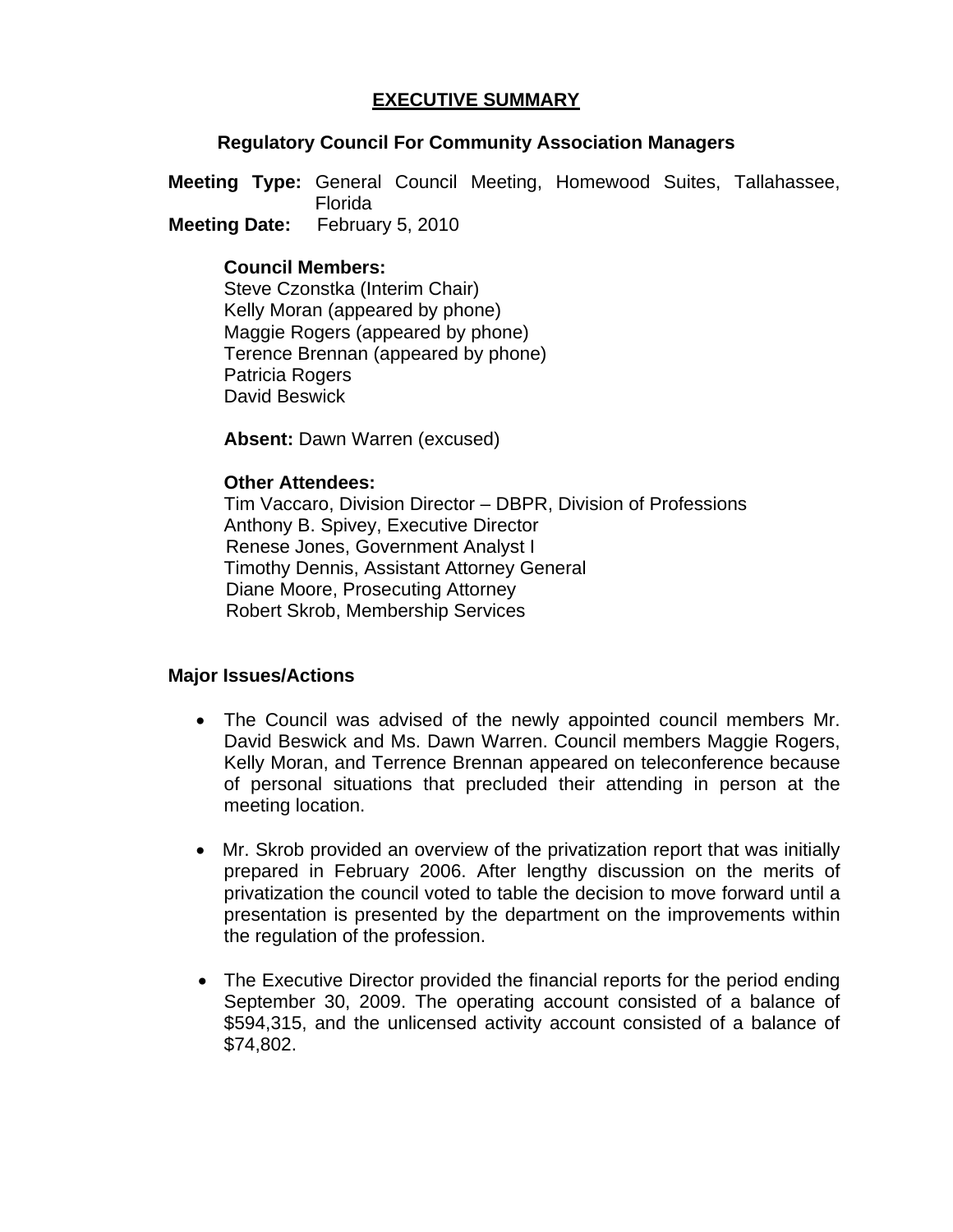# **EXECUTIVE SUMMARY**

## **Regulatory Council For Community Association Managers**

**Meeting Type:** General Council Meeting, Homewood Suites, Tallahassee, Florida  **Meeting Date:** February 5, 2010

## **Council Members:**

Steve Czonstka (Interim Chair) Kelly Moran (appeared by phone) Maggie Rogers (appeared by phone) Terence Brennan (appeared by phone) Patricia Rogers David Beswick

**Absent: Dawn Warren (excused)** 

#### **Other Attendees:**

Tim Vaccaro, Division Director – DBPR, Division of Professions Anthony B. Spivey, Executive Director Renese Jones, Government Analyst I Timothy Dennis, Assistant Attorney General Diane Moore, Prosecuting Attorney Robert Skrob, Membership Services

#### **Major Issues/Actions**

- The Council was advised of the newly appointed council members Mr. David Beswick and Ms. Dawn Warren. Council members Maggie Rogers, Kelly Moran, and Terrence Brennan appeared on teleconference because of personal situations that precluded their attending in person at the meeting location.
- Mr. Skrob provided an overview of the privatization report that was initially prepared in February 2006. After lengthy discussion on the merits of privatization the council voted to table the decision to move forward until a presentation is presented by the department on the improvements within the regulation of the profession.
- The Executive Director provided the financial reports for the period ending September 30, 2009. The operating account consisted of a balance of \$594,315, and the unlicensed activity account consisted of a balance of \$74,802.